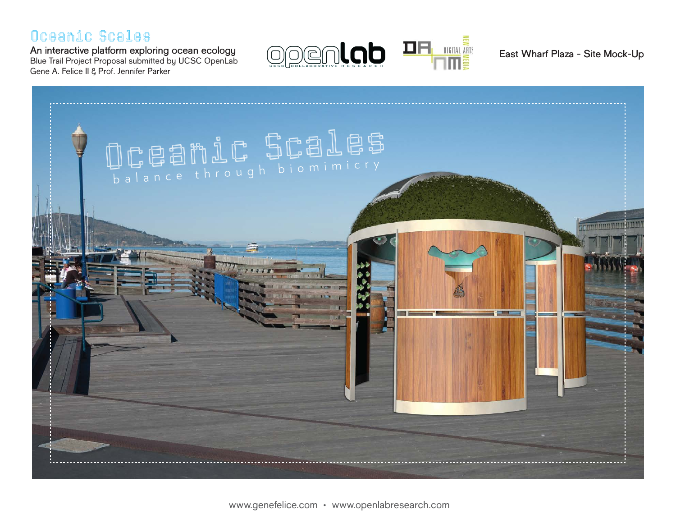**An interactive platform exploring ocean ecology** Blue Trail Project Proposal submitted by UCSC OpenLab Gene A. Felice II & Prof. Jennifer Parker



**East Wharf Plaza - Site Mock-Up**

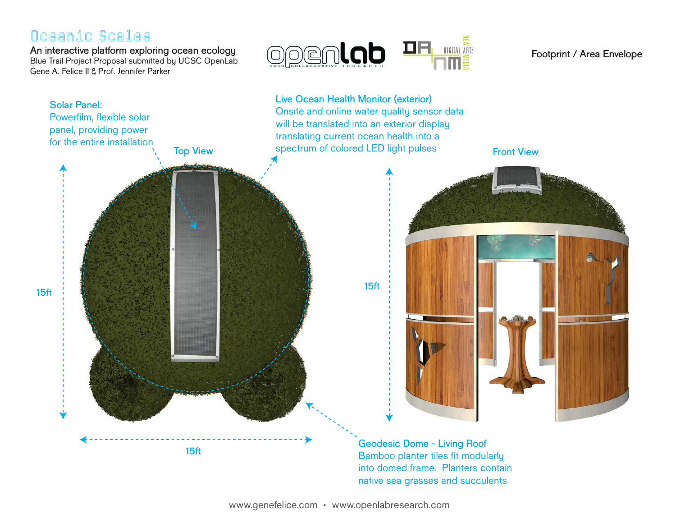**An interactive platform exploring ocean ecology** Blue Trail Project Proposal submitted by UCSC OpenLab Gene A. Felice II & Prof. Jennifer Parker



**Footprint / Area Envelope**

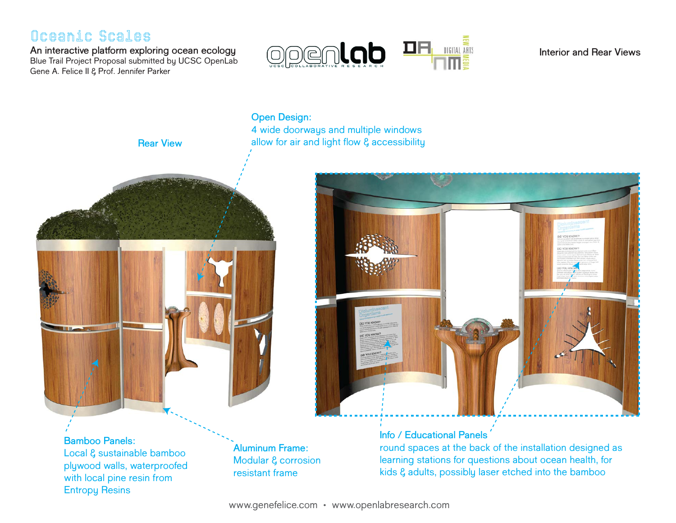**An interactive platform exploring ocean ecology** Blue Trail Project Proposal submitted by UCSC OpenLab Gene A. Felice II & Prof. Jennifer Parker



**Interior and Rear Views**

**Rear View** 4 wide doorways and multiple windows allow for air and light flow & accessibility

#### **Bamboo Panels:**

Local & sustainable bamboo plywood walls, waterproofed with local pine resin from Entropy Resins

**Aluminum Frame:** Modular & corrosion resistant frame

**Open Design:**

**Info / Educational Panels**

round spaces at the back of the installation designed as learning stations for questions about ocean health, for kids & adults, possibly laser etched into the bamboo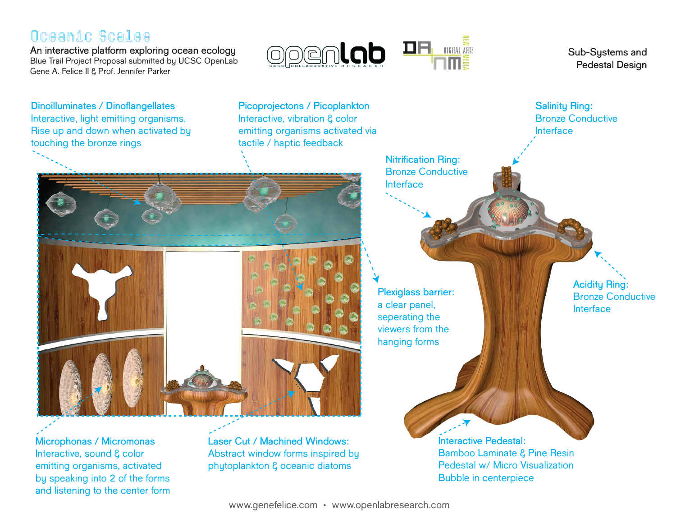**An interactive platform exploring ocean ecology** Blue Trail Project Proposal submitted by UCSC OpenLab Gene A. Felice II & Prof. Jennifer Parker



**Sub-Systems and Pedestal Design**

**Salinity Ring:**  Bronze Conductive

**Interface** 

**Dinoilluminates / Dinoflangellates** Interactive, light emitting organisms, Rise up and down when activated by touching the bronze rings

**Picoprojectons / Picoplankton** Interactive, vibration & color emitting organisms activated via tactile / haptic feedback

> **Nitrification Ring:**  Bronze Conductive **Interface**

**Plexiglass barrier:** a clear panel, seperating the viewers from the hanging forms

**Acidity Ring:**  Bronze Conductive **Interface** 

**Microphonas / Micromonas** Interactive, sound & color emitting organisms, activated by speaking into 2 of the forms and listening to the center form **Laser Cut / Machined Windows:** Abstract window forms inspired by phytoplankton & oceanic diatoms

**Interactive Pedestal:** Bamboo Laminate & Pine Resin Pedestal w/ Micro Visualization Bubble in centerpiece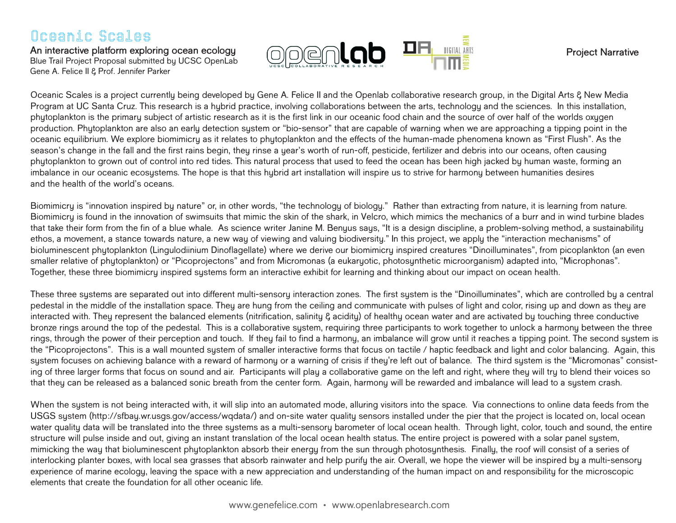**An interactive platform exploring ocean ecology** Blue Trail Project Proposal submitted by UCSC OpenLab Gene A. Felice II & Prof. Jennifer Parker



**Project Narrative**

Oceanic Scales is a project currently being developed by Gene A. Felice II and the Openlab collaborative research group, in the Digital Arts & New Media Program at UC Santa Cruz. This research is a hybrid practice, involving collaborations between the arts, technology and the sciences. In this installation, phytoplankton is the primary subject of artistic research as it is the first link in our oceanic food chain and the source of over half of the worlds oxygen production. Phytoplankton are also an early detection system or "bio-sensor" that are capable of warning when we are approaching a tipping point in the oceanic equilibrium. We explore biomimicry as it relates to phytoplankton and the effects of the human-made phenomena known as "First Flush". As the season's change in the fall and the first rains begin, they rinse a year's worth of run-off, pesticide, fertilizer and debris into our oceans, often causing phytoplankton to grown out of control into red tides. This natural process that used to feed the ocean has been high jacked by human waste, forming an imbalance in our oceanic ecosystems. The hope is that this hybrid art installation will inspire us to strive for harmony between humanities desires and the health of the world's oceans.

Biomimicry is "innovation inspired by nature" or, in other words, "the technology of biology." Rather than extracting from nature, it is learning from nature. Biomimicry is found in the innovation of swimsuits that mimic the skin of the shark, in Velcro, which mimics the mechanics of a burr and in wind turbine blades that take their form from the fin of a blue whale. As science writer Janine M. Benyus says, "It is a design discipline, a problem-solving method, a sustainability ethos, a movement, a stance towards nature, a new way of viewing and valuing biodiversity." In this project, we apply the "interaction mechanisms" of bioluminescent phytoplankton (Lingulodiinium Dinoflagellate) where we derive our biomimicry inspired creatures "Dinoilluminates", from picoplankton (an even smaller relative of phytoplankton) or "Picoprojectons" and from Micromonas (a eukaryotic, photosynthetic microorganism) adapted into, "Microphonas". Together, these three biomimicry inspired systems form an interactive exhibit for learning and thinking about our impact on ocean health.

These three systems are separated out into different multi-sensory interaction zones. The first system is the "Dinoilluminates", which are controlled by a central pedestal in the middle of the installation space. They are hung from the ceiling and communicate with pulses of light and color, rising up and down as they are interacted with. They represent the balanced elements (nitrification, salinity & acidity) of healthy ocean water and are activated by touching three conductive bronze rings around the top of the pedestal. This is a collaborative system, requiring three participants to work together to unlock a harmony between the three rings, through the power of their perception and touch. If they fail to find a harmony, an imbalance will grow until it reaches a tipping point. The second system is the "Picoprojectons". This is a wall mounted system of smaller interactive forms that focus on tactile / haptic feedback and light and color balancing. Again, this system focuses on achieving balance with a reward of harmony or a warning of crisis if they're left out of balance. The third system is the "Micromonas" consisting of three larger forms that focus on sound and air. Participants will play a collaborative game on the left and right, where they will try to blend their voices so that they can be released as a balanced sonic breath from the center form. Again, harmony will be rewarded and imbalance will lead to a system crash.

When the system is not being interacted with, it will slip into an automated mode, alluring visitors into the space. Via connections to online data feeds from the USGS system (http://sfbay.wr.usgs.gov/access/wqdata/) and on-site water quality sensors installed under the pier that the project is located on, local ocean water quality data will be translated into the three systems as a multi-sensory barometer of local ocean health. Through light, color, touch and sound, the entire structure will pulse inside and out, giving an instant translation of the local ocean health status. The entire project is powered with a solar panel system, mimicking the way that bioluminescent phytoplankton absorb their energy from the sun through photosynthesis. Finally, the roof will consist of a series of interlocking planter boxes, with local sea grasses that absorb rainwater and help purify the air. Overall, we hope the viewer will be inspired by a multi-sensory experience of marine ecology, leaving the space with a new appreciation and understanding of the human impact on and responsibility for the microscopic elements that create the foundation for all other oceanic life.